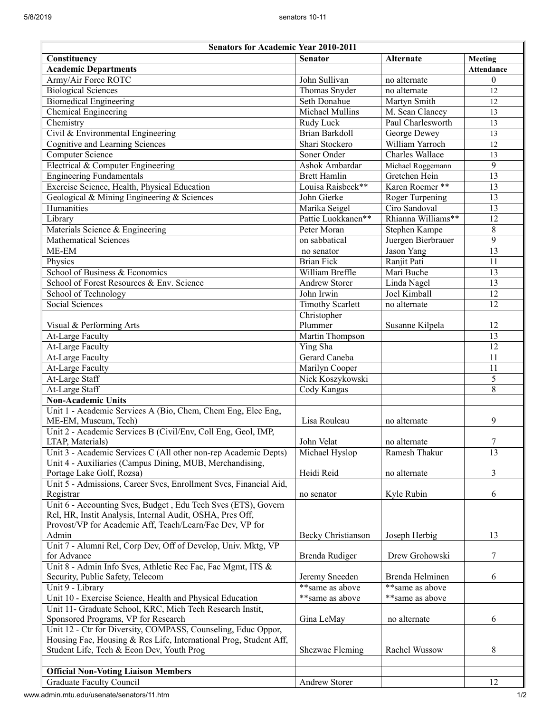| <b>Senators for Academic Year 2010-2011</b>                       |                         |                        |                   |
|-------------------------------------------------------------------|-------------------------|------------------------|-------------------|
| Constituency                                                      | <b>Senator</b>          | <b>Alternate</b>       | Meeting           |
| <b>Academic Departments</b>                                       |                         |                        | <b>Attendance</b> |
| Army/Air Force ROTC                                               | John Sullivan           | no alternate           | $\theta$          |
| <b>Biological Sciences</b>                                        | Thomas Snyder           | no alternate           | 12                |
| <b>Biomedical Engineering</b>                                     | Seth Donahue            | Martyn Smith           | 12                |
| Chemical Engineering                                              | Michael Mullins         | M. Sean Clancey        | 13                |
| Chemistry                                                         | Rudy Luck               | Paul Charlesworth      | 13                |
| Civil & Environmental Engineering                                 | <b>Brian Barkdoll</b>   | George Dewey           | 13                |
| <b>Cognitive and Learning Sciences</b>                            | Shari Stockero          | William Yarroch        | 12                |
| <b>Computer Science</b>                                           | Soner Onder             | <b>Charles Wallace</b> | 13                |
| Electrical & Computer Engineering                                 | Ashok Ambardar          | Michael Roggemann      | $\overline{9}$    |
| <b>Engineering Fundamentals</b>                                   | <b>Brett Hamlin</b>     | Gretchen Hein          | 13                |
| Exercise Science, Health, Physical Education                      | Louisa Raisbeck**       | Karen Roemer **        | 13                |
| Geological & Mining Engineering & Sciences                        | John Gierke             | Roger Turpening        | 13                |
| Humanities                                                        | Marika Seigel           | Ciro Sandoval          | 13                |
| Library                                                           | Pattie Luokkanen**      | Rhianna Williams**     | 12                |
| Materials Science & Engineering                                   | Peter Moran             | Stephen Kampe          | 8                 |
| <b>Mathematical Sciences</b>                                      | on sabbatical           | Juergen Bierbrauer     | 9                 |
| ME-EM                                                             | no senator              | Jason Yang             | $\overline{13}$   |
| Physics                                                           | <b>Brian Fick</b>       | Ranjit Pati            | $\overline{11}$   |
| School of Business & Economics                                    | William Breffle         | Mari Buche             | 13                |
| School of Forest Resources & Env. Science                         | <b>Andrew Storer</b>    | Linda Nagel            | 13                |
| School of Technology                                              | John Irwin              | Joel Kimball           | $\overline{12}$   |
| Social Sciences                                                   | <b>Timothy Scarlett</b> | no alternate           | 12                |
|                                                                   | Christopher             |                        |                   |
| Visual & Performing Arts                                          | Plummer                 | Susanne Kilpela        | 12                |
| At-Large Faculty                                                  | <b>Martin Thompson</b>  |                        | 13                |
| At-Large Faculty                                                  | Ying Sha                |                        | 12                |
| At-Large Faculty                                                  | Gerard Caneba           |                        | 11                |
| At-Large Faculty                                                  | Marilyn Cooper          |                        | 11                |
| At-Large Staff                                                    | Nick Koszykowski        |                        | 5                 |
| At-Large Staff                                                    | Cody Kangas             |                        | 8                 |
| <b>Non-Academic Units</b>                                         |                         |                        |                   |
| Unit 1 - Academic Services A (Bio, Chem, Chem Eng, Elec Eng,      |                         |                        |                   |
| ME-EM, Museum, Tech)                                              | Lisa Rouleau            | no alternate           | 9                 |
| Unit 2 - Academic Services B (Civil/Env, Coll Eng, Geol, IMP,     |                         |                        |                   |
| LTAP, Materials)                                                  | John Velat              | no alternate           | 7                 |
| Unit 3 - Academic Services C (All other non-rep Academic Depts)   | Michael Hyslop          | Ramesh Thakur          | $\overline{13}$   |
| Unit 4 - Auxiliaries (Campus Dining, MUB, Merchandising,          |                         |                        |                   |
| Portage Lake Golf, Rozsa)                                         | Heidi Reid              | no alternate           | 3                 |
| Unit 5 - Admissions, Career Svcs, Enrollment Svcs, Financial Aid, |                         |                        |                   |
| Registrar                                                         | no senator              | Kyle Rubin             | 6                 |
| Unit 6 - Accounting Svcs, Budget, Edu Tech Svcs (ETS), Govern     |                         |                        |                   |
| Rel, HR, Instit Analysis, Internal Audit, OSHA, Pres Off,         |                         |                        |                   |
| Provost/VP for Academic Aff, Teach/Learn/Fac Dev, VP for          |                         |                        |                   |
| Admin                                                             | Becky Christianson      | Joseph Herbig          | 13                |
| Unit 7 - Alumni Rel, Corp Dev, Off of Develop, Univ. Mktg, VP     |                         |                        |                   |
| for Advance                                                       | Brenda Rudiger          | Drew Grohowski         | 7                 |
| Unit 8 - Admin Info Svcs, Athletic Rec Fac, Fac Mgmt, ITS &       |                         |                        |                   |
| Security, Public Safety, Telecom                                  | Jeremy Sneeden          | Brenda Helminen        | 6                 |
| Unit 9 - Library                                                  | **same as above         | **same as above        |                   |
| Unit 10 - Exercise Science, Health and Physical Education         | **same as above         | **same as above        |                   |
| Unit 11- Graduate School, KRC, Mich Tech Research Instit,         |                         |                        |                   |
| Sponsored Programs, VP for Research                               | Gina LeMay              | no alternate           | 6                 |
| Unit 12 - Ctr for Diversity, COMPASS, Counseling, Educ Oppor,     |                         |                        |                   |
| Housing Fac, Housing & Res Life, International Prog, Student Aff, |                         |                        |                   |
| Student Life, Tech & Econ Dev, Youth Prog                         | Shezwae Fleming         | Rachel Wussow          | 8                 |
|                                                                   |                         |                        |                   |
| <b>Official Non-Voting Liaison Members</b>                        |                         |                        |                   |
| <b>Graduate Faculty Council</b>                                   | Andrew Storer           |                        | 12                |